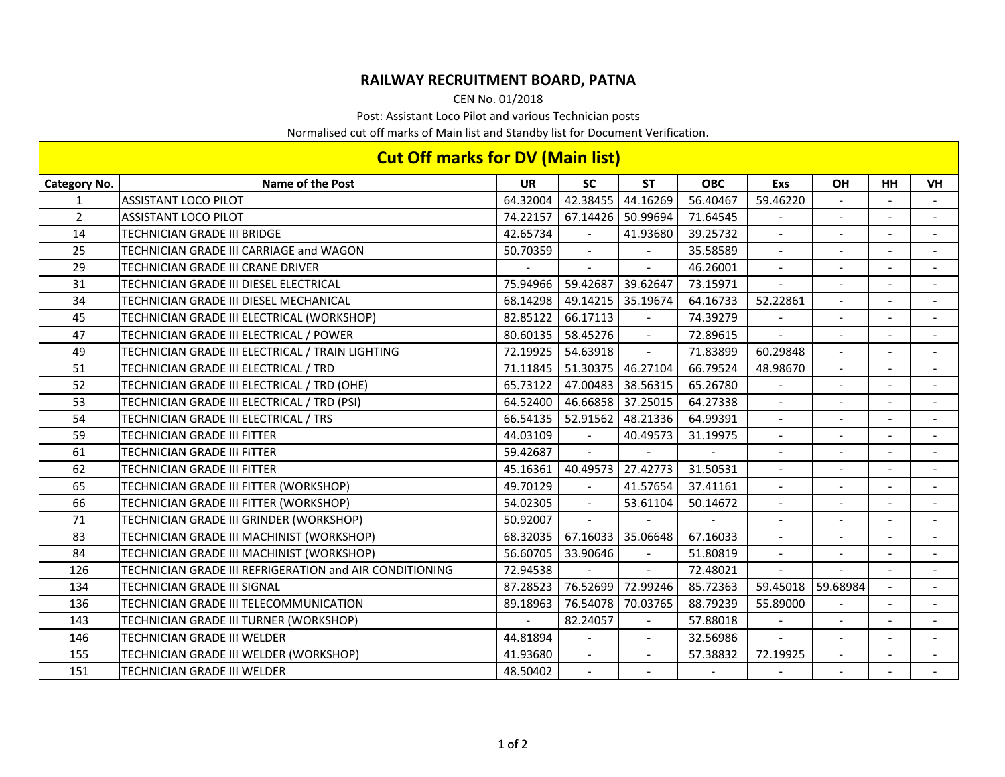## **RAILWAY RECRUITMENT BOARD, PATNA**

CEN No. 01/2018

Post: Assistant Loco Pilot and various Technician posts

Normalised cut off marks of Main list and Standby list for Document Verification.

| <b>Cut Off marks for DV (Main list)</b> |                                                         |           |                |                   |            |                          |                          |                |                |  |
|-----------------------------------------|---------------------------------------------------------|-----------|----------------|-------------------|------------|--------------------------|--------------------------|----------------|----------------|--|
| <b>Category No.</b>                     | <b>Name of the Post</b>                                 | <b>UR</b> | <b>SC</b>      | <b>ST</b>         | <b>OBC</b> | Exs                      | OH                       | <b>HH</b>      | <b>VH</b>      |  |
| $\mathbf{1}$                            | <b>ASSISTANT LOCO PILOT</b>                             | 64.32004  | 42.38455       | 44.16269          | 56.40467   | 59.46220                 |                          |                |                |  |
| $\overline{2}$                          | <b>ASSISTANT LOCO PILOT</b>                             | 74.22157  | 67.14426       | 50.99694          | 71.64545   |                          |                          |                |                |  |
| 14                                      | TECHNICIAN GRADE III BRIDGE                             | 42.65734  | $\sim$         | 41.93680          | 39.25732   | $\sim$                   |                          |                |                |  |
| 25                                      | TECHNICIAN GRADE III CARRIAGE and WAGON                 | 50.70359  |                |                   | 35.58589   | $\overline{\phantom{a}}$ |                          |                |                |  |
| 29                                      | TECHNICIAN GRADE III CRANE DRIVER                       |           |                |                   | 46.26001   | $\blacksquare$           |                          |                |                |  |
| 31                                      | TECHNICIAN GRADE III DIESEL ELECTRICAL                  | 75.94966  | 59.42687       | 39.62647          | 73.15971   | $\overline{a}$           |                          |                |                |  |
| 34                                      | TECHNICIAN GRADE III DIESEL MECHANICAL                  | 68.14298  | 49.14215       | 35.19674          | 64.16733   | 52.22861                 |                          |                |                |  |
| 45                                      | TECHNICIAN GRADE III ELECTRICAL (WORKSHOP)              | 82.85122  | 66.17113       | $\blacksquare$    | 74.39279   |                          | $\overline{\phantom{a}}$ |                |                |  |
| 47                                      | TECHNICIAN GRADE III ELECTRICAL / POWER                 | 80.60135  | 58.45276       | $\mathbf{r}$      | 72.89615   |                          |                          |                |                |  |
| 49                                      | TECHNICIAN GRADE III ELECTRICAL / TRAIN LIGHTING        | 72.19925  | 54.63918       | $\overline{a}$    | 71.83899   | 60.29848                 | $\overline{\phantom{a}}$ |                |                |  |
| 51                                      | TECHNICIAN GRADE III ELECTRICAL / TRD                   | 71.11845  | 51.30375       | 46.27104          | 66.79524   | 48.98670                 |                          |                |                |  |
| 52                                      | TECHNICIAN GRADE III ELECTRICAL / TRD (OHE)             | 65.73122  | 47.00483       | 38.56315          | 65.26780   |                          |                          |                |                |  |
| 53                                      | TECHNICIAN GRADE III ELECTRICAL / TRD (PSI)             | 64.52400  |                | 46.66858 37.25015 | 64.27338   | $\blacksquare$           | $\sim$                   | $\sim$         | $\blacksquare$ |  |
| 54                                      | TECHNICIAN GRADE III ELECTRICAL / TRS                   | 66.54135  | 52.91562       | 48.21336          | 64.99391   | $\blacksquare$           |                          |                |                |  |
| 59                                      | TECHNICIAN GRADE III FITTER                             | 44.03109  |                | 40.49573          | 31.19975   | $\overline{a}$           |                          |                |                |  |
| 61                                      | TECHNICIAN GRADE III FITTER                             | 59.42687  |                |                   |            | $\blacksquare$           | $\overline{\phantom{a}}$ |                |                |  |
| 62                                      | TECHNICIAN GRADE III FITTER                             | 45.16361  | 40.49573       | 27.42773          | 31.50531   | $\sim$                   | $\overline{a}$           |                |                |  |
| 65                                      | TECHNICIAN GRADE III FITTER (WORKSHOP)                  | 49.70129  |                | 41.57654          | 37.41161   | $\blacksquare$           |                          |                |                |  |
| 66                                      | TECHNICIAN GRADE III FITTER (WORKSHOP)                  | 54.02305  | $\sim$         | 53.61104          | 50.14672   | $\blacksquare$           | $\overline{\phantom{a}}$ |                |                |  |
| 71                                      | TECHNICIAN GRADE III GRINDER (WORKSHOP)                 | 50.92007  | $\sim$         |                   |            | $\blacksquare$           |                          |                |                |  |
| 83                                      | TECHNICIAN GRADE III MACHINIST (WORKSHOP)               | 68.32035  | 67.16033       | 35.06648          | 67.16033   |                          |                          |                |                |  |
| 84                                      | TECHNICIAN GRADE III MACHINIST (WORKSHOP)               | 56.60705  | 33.90646       | $\blacksquare$    | 51.80819   | $\blacksquare$           | $\overline{\phantom{a}}$ |                |                |  |
| 126                                     | TECHNICIAN GRADE III REFRIGERATION and AIR CONDITIONING | 72.94538  |                |                   | 72.48021   |                          |                          |                |                |  |
| 134                                     | TECHNICIAN GRADE III SIGNAL                             | 87.28523  | 76.52699       | 72.99246          | 85.72363   | 59.45018                 | 59.68984                 |                |                |  |
| 136                                     | TECHNICIAN GRADE III TELECOMMUNICATION                  | 89.18963  | 76.54078       | 70.03765          | 88.79239   | 55.89000                 |                          | $\sim$         |                |  |
| 143                                     | TECHNICIAN GRADE III TURNER (WORKSHOP)                  |           | 82.24057       |                   | 57.88018   |                          |                          |                |                |  |
| 146                                     | <b>TECHNICIAN GRADE III WELDER</b>                      | 44.81894  | $\blacksquare$ | $\omega$          | 32.56986   | $\equiv$                 | $\sim$                   | $\overline{a}$ | $\sim$         |  |
| 155                                     | TECHNICIAN GRADE III WELDER (WORKSHOP)                  | 41.93680  |                |                   | 57.38832   | 72.19925                 |                          |                |                |  |
| 151                                     | <b>TECHNICIAN GRADE III WELDER</b>                      | 48.50402  |                |                   |            |                          |                          |                |                |  |